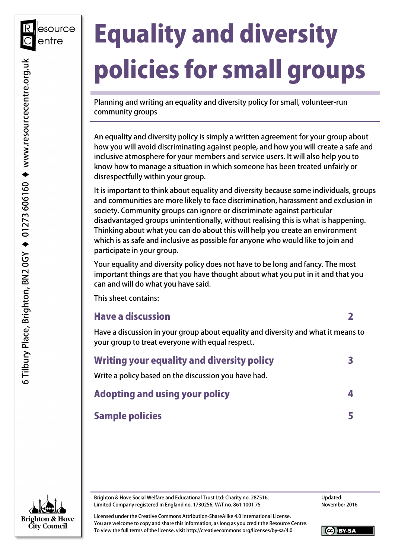# Equality and diversity policies for small groups

Planning and writing an equality and diversity policy for small, volunteer-run community groups

An equality and diversity policy is simply a written agreement for your group about how you will avoid discriminating against people, and how you will create a safe and inclusive atmosphere for your members and service users. It will also help you to know how to manage a situation in which someone has been treated unfairly or disrespectfully within your group.

It is important to think about equality and diversity because some individuals, groups and communities are more likely to face discrimination, harassment and exclusion in society. Community groups can ignore or discriminate against particular disadvantaged groups unintentionally, without realising this is what is happening. Thinking about what you can do about this will help you create an environment which is as safe and inclusive as possible for anyone who would like to join and participate in your group.

Your equality and diversity policy does not have to be long and fancy. The most important things are that you have thought about what you put in it and that you can and will do what you have said.

This sheet contains:

#### Have a discussion 2

Have a discussion in your group about equality and diversity and what it means to your group to treat everyone with equal respect.

| Writing your equality and diversity policy           |  |
|------------------------------------------------------|--|
| Write a policy based on the discussion you have had. |  |
| <b>Adopting and using your policy</b>                |  |
| <b>Sample policies</b>                               |  |



Brighton & Hove Social Welfare and Educational Trust Ltd: Charity no. 287516, Limited Company registered in England no. 1730256, VAT no. 861 1001 75

Updated: November 2016

Licensed under the Creative Commons Attribution-ShareAlike 4.0 International License. You are welcome to copy and share this information, as long as you credit the Resource Centre. To view the full terms of the license, visit http://creativecommons.org/licenses/by-sa/4.0

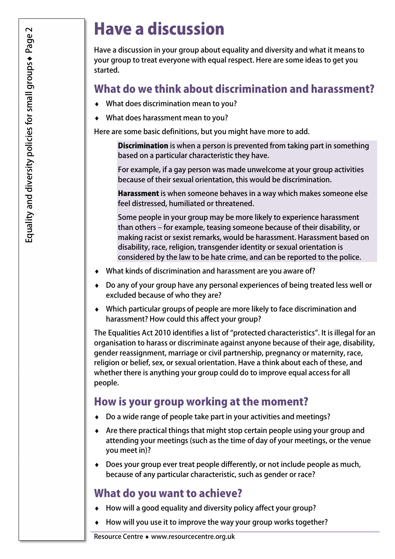# Have a discussion

Have a discussion in your group about equality and diversity and what it means to your group to treat everyone with equal respect. Here are some ideas to get you started.

# What do we think about discrimination and harassment?

- ♦ What does discrimination mean to you?
- ♦ What does harassment mean to you?

Here are some basic definitions, but you might have more to add.

Discrimination is when a person is prevented from taking part in something based on a particular characteristic they have.

For example, if a gay person was made unwelcome at your group activities because of their sexual orientation, this would be discrimination.

Harassment is when someone behaves in a way which makes someone else feel distressed, humiliated or threatened.

Some people in your group may be more likely to experience harassment than others – for example, teasing someone because of their disability, or making racist or sexist remarks, would be harassment. Harassment based on disability, race, religion, transgender identity or sexual orientation is considered by the law to be hate crime, and can be reported to the police.

- What kinds of discrimination and harassment are you aware of?
- ♦ Do any of your group have any personal experiences of being treated less well or excluded because of who they are?
- ♦ Which particular groups of people are more likely to face discrimination and harassment? How could this affect your group?

The Equalities Act 2010 identifies a list of "protected characteristics". It is illegal for an organisation to harass or discriminate against anyone because of their age, disability, gender reassignment, marriage or civil partnership, pregnancy or maternity, race, religion or belief, sex, or sexual orientation. Have a think about each of these, and whether there is anything your group could do to improve equal access for all people.

# How is your group working at the moment?

- ♦ Do a wide range of people take part in your activities and meetings?
- ♦ Are there practical things that might stop certain people using your group and attending your meetings (such as the time of day of your meetings, or the venue you meet in)?
- ♦ Does your group ever treat people differently, or not include people as much, because of any particular characteristic, such as gender or race?

# What do you want to achieve?

- ♦ How will a good equality and diversity policy affect your group?
- ♦ How will you use it to improve the way your group works together?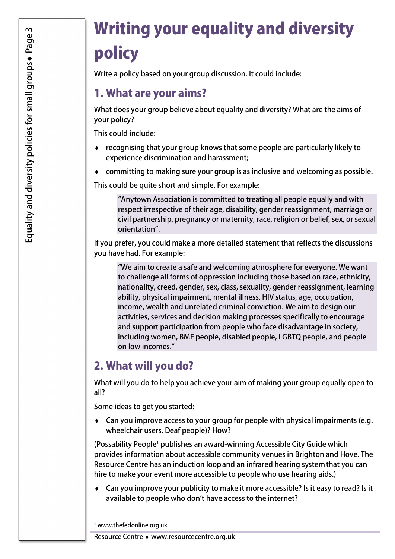# Writing your equality and diversity policy

Write a policy based on your group discussion. It could include:

# 1. What are your aims?

What does your group believe about equality and diversity? What are the aims of your policy?

This could include:

- ♦ recognising that your group knows that some people are particularly likely to experience discrimination and harassment;
- ♦ committing to making sure your group is as inclusive and welcoming as possible.

This could be quite short and simple. For example:

"Anytown Association is committed to treating all people equally and with respect irrespective of their age, disability, gender reassignment, marriage or civil partnership, pregnancy or maternity, race, religion or belief, sex, or sexual orientation".

If you prefer, you could make a more detailed statement that reflects the discussions you have had. For example:

"We aim to create a safe and welcoming atmosphere for everyone. We want to challenge all forms of oppression including those based on race, ethnicity, nationality, creed, gender, sex, class, sexuality, gender reassignment, learning ability, physical impairment, mental illness, HIV status, age, occupation, income, wealth and unrelated criminal conviction. We aim to design our activities, services and decision making processes specifically to encourage and support participation from people who face disadvantage in society, including women, BME people, disabled people, LGBTQ people, and people on low incomes."

# 2. What will you do?

What will you do to help you achieve your aim of making your group equally open to all?

Some ideas to get you started:

♦ Can you improve access to your group for people with physical impairments (e.g. wheelchair users, Deaf people)? How?

(Possability People<sup>1</sup> publishes an award-winning Accessible City Guide which provides information about accessible community venues in Brighton and Hove. The Resource Centre has an induction loopand an infrared hearing systemthat you can hire to make your event more accessible to people who use hearing aids.)

♦ Can you improve your publicity to make it more accessible? Is it easy to read? Is it available to people who don't have access to the internet?

1 www.thefedonline.org.uk

1

Resource Centre ♦ www.resourcecentre.org.uk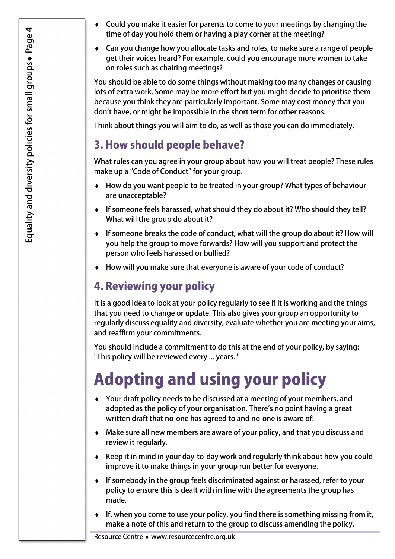- Could you make it easier for parents to come to your meetings by changing the time of day you hold them or having a play corner at the meeting?
- ♦ Can you change how you allocate tasks and roles, to make sure a range of people get their voices heard? For example, could you encourage more women to take on roles such as chairing meetings?

You should be able to do some things without making too many changes or causing lots of extra work. Some may be more effort but you might decide to prioritise them because you think they are particularly important. Some may cost money that you don't have, or might be impossible in the short term for other reasons.

Think about things you will aim to do, as well as those you can do immediately.

# 3. How should people behave?

What rules can you agree in your group about how you will treat people? These rules make up a "Code of Conduct" for your group.

- How do you want people to be treated in your group? What types of behaviour are unacceptable?
- ♦ If someone feels harassed, what should they do about it? Who should they tell? What will the group do about it?
- ♦ If someone breaks the code of conduct, what will the group do about it? How will you help the group to move forwards? How will you support and protect the person who feels harassed or bullied?
- ♦ How will you make sure that everyone is aware of your code of conduct?

# 4. Reviewing your policy

It is a good idea to look at your policy regularly to see if it is working and the things that you need to change or update. This also gives your group an opportunity to regularly discuss equality and diversity, evaluate whether you are meeting your aims, and reaffirm your commitments.

You should include a commitment to do this at the end of your policy, by saying: "This policy will be reviewed every ... years."

# Adopting and using your policy

- ♦ Your draft policy needs to be discussed at a meeting of your members, and adopted as the policy of your organisation. There's no point having a great written draft that no-one has agreed to and no-one is aware of!
- ♦ Make sure all new members are aware of your policy, and that you discuss and review it regularly.
- ♦ Keep it in mind in your day-to-day work and regularly think about how you could improve it to make things in your group run better for everyone.
- ♦ If somebody in the group feels discriminated against or harassed, refer to your policy to ensure this is dealt with in line with the agreements the group has made.
- ♦ If, when you come to use your policy, you find there is something missing from it, make a note of this and return to the group to discuss amending the policy.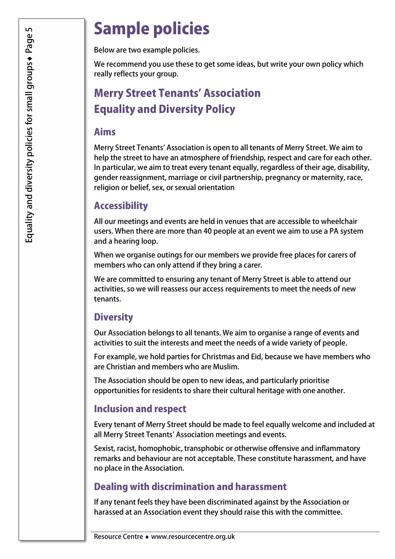# Sample policies

Below are two example policies.

We recommend you use these to get some ideas, but write your own policy which really reflects your group.

# Merry Street Tenants' Association Equality and Diversity Policy

### Aims

Merry Street Tenants' Association is open to all tenants of Merry Street. We aim to help the street to have an atmosphere of friendship, respect and care for each other. In particular, we aim to treat every tenant equally, regardless of their age, disability, gender reassignment, marriage or civil partnership, pregnancy or maternity, race, religion or belief, sex, or sexual orientation

#### Accessibility

All our meetings and events are held in venues that are accessible to wheelchair users. When there are more than 40 people at an event we aim to use a PA system and a hearing loop.

When we organise outings for our members we provide free places for carers of members who can only attend if they bring a carer.

We are committed to ensuring any tenant of Merry Street is able to attend our activities, so we will reassess our access requirements to meet the needs of new tenants.

#### **Diversity**

Our Association belongs to all tenants. We aim to organise a range of events and activities to suit the interests and meet the needs of a wide variety of people.

For example, we hold parties for Christmas and Eid, because we have members who are Christian and members who are Muslim.

The Association should be open to new ideas, and particularly prioritise opportunities for residents to share their cultural heritage with one another.

#### Inclusion and respect

Every tenant of Merry Street should be made to feel equally welcome and included at all Merry Street Tenants' Association meetings and events.

Sexist, racist, homophobic, transphobic or otherwise offensive and inflammatory remarks and behaviour are not acceptable. These constitute harassment, and have no place in the Association.

### Dealing with discrimination and harassment

If any tenant feels they have been discriminated against by the Association or harassed at an Association event they should raise this with the committee.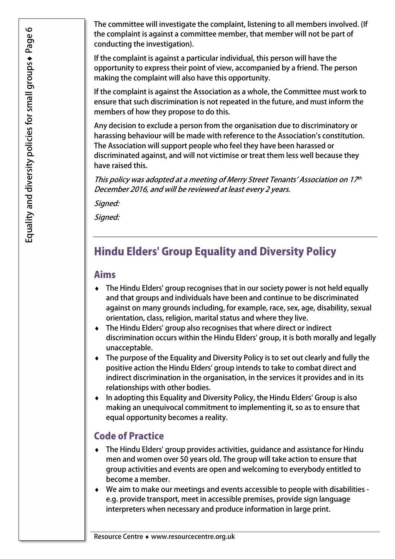The committee will investigate the complaint, listening to all members involved. (If the complaint is against a committee member, that member will not be part of conducting the investigation).

If the complaint is against a particular individual, this person will have the opportunity to express their point of view, accompanied by a friend. The person making the complaint will also have this opportunity.

If the complaint is against the Association as a whole, the Committee must work to ensure that such discrimination is not repeated in the future, and must inform the members of how they propose to do this.

Any decision to exclude a person from the organisation due to discriminatory or harassing behaviour will be made with reference to the Association's constitution. The Association will support people who feel they have been harassed or discriminated against, and will not victimise or treat them less well because they have raised this.

This policy was adopted at a meeting of Merry Street Tenants' Association on 17 th December 2016, and will be reviewed at least every 2 years.

Signed:

Signed:

# Hindu Elders' Group Equality and Diversity Policy

#### Aims

- ♦ The Hindu Elders' group recognises that in our society power is not held equally and that groups and individuals have been and continue to be discriminated against on many grounds including, for example, race, sex, age, disability, sexual orientation, class, religion, marital status and where they live.
- ♦ The Hindu Elders' group also recognises that where direct or indirect discrimination occurs within the Hindu Elders' group, it is both morally and legally unacceptable.
- ♦ The purpose of the Equality and Diversity Policy is to set out clearly and fully the positive action the Hindu Elders' group intends to take to combat direct and indirect discrimination in the organisation, in the services it provides and in its relationships with other bodies.
- ♦ In adopting this Equality and Diversity Policy, the Hindu Elders' Group is also making an unequivocal commitment to implementing it, so as to ensure that equal opportunity becomes a reality.

#### Code of Practice

- ♦ The Hindu Elders' group provides activities, guidance and assistance for Hindu men and women over 50 years old. The group will take action to ensure that group activities and events are open and welcoming to everybody entitled to become a member.
- ♦ We aim to make our meetings and events accessible to people with disabilities e.g. provide transport, meet in accessible premises, provide sign language interpreters when necessary and produce information in large print.